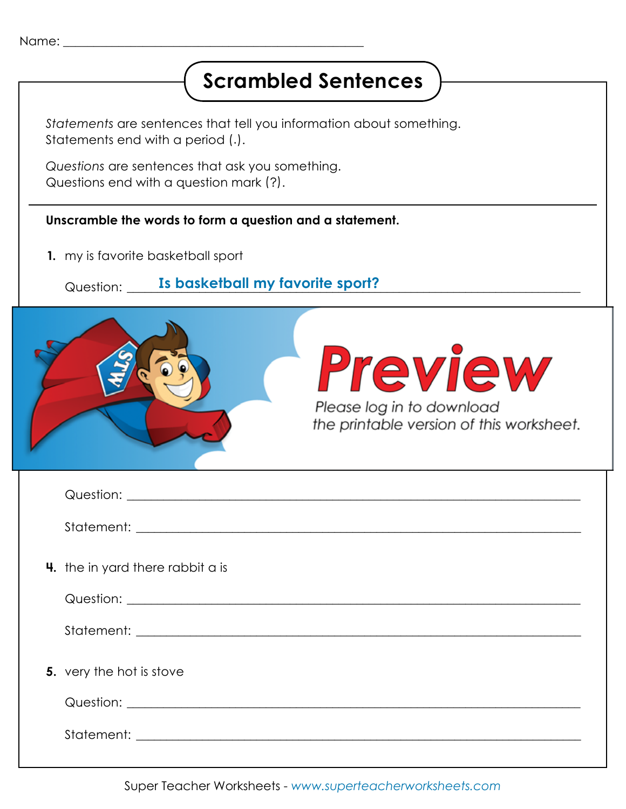## **Scrambled Sentences**

*Statements* are sentences that tell you information about something. Statements end with a period (.).

*Questions* are sentences that ask you something. Questions end with a question mark (?).

## **Unscramble the words to form a question and a statement.**

**1.** my is favorite basketball sport

Question: \_\_\_\_\_\_\_\_\_\_\_\_\_\_\_\_\_\_\_\_\_\_\_\_\_\_\_\_\_\_\_\_\_\_\_\_\_\_\_\_\_\_\_\_\_\_\_\_\_\_\_\_\_\_\_\_\_\_\_\_\_\_\_\_\_\_\_\_\_\_\_\_\_\_\_ **Is basketball my favorite sport?**

| <b>Preview</b><br>Please log in to download<br>the printable version of this worksheet. |  |
|-----------------------------------------------------------------------------------------|--|
|                                                                                         |  |
|                                                                                         |  |
| 4. the in yard there rabbit a is                                                        |  |
|                                                                                         |  |
|                                                                                         |  |
| 5. very the hot is stove                                                                |  |
|                                                                                         |  |
|                                                                                         |  |